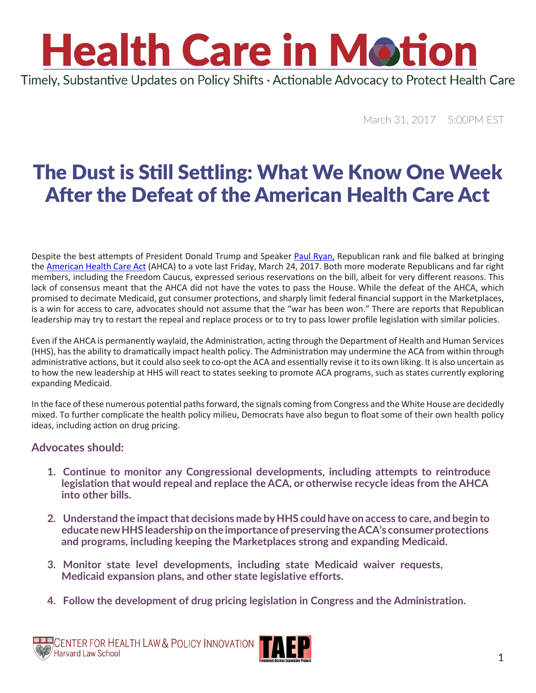### **Health Care in Motion** Timely, Substantive Updates on Policy Shifts · Actionable Advocacy to Protect Health Care

March 31, 2017 5:00PM EST

### The Dust is Still Settling: What We Know One Week After the Defeat of the American Health Care Act

Despite the best attempts of President Donald Trump and Speaker [Paul Ryan,](https://paulryan.house.gov/contact/) Republican rank and file balked at bringing the [American Health Care Act](http://www.chlpi.org/wp-content/uploads/2013/12/Health-Care-in-Motion_03_07_2017.pdf) (AHCA) to a vote last Friday, March 24, 2017. Both more moderate Republicans and far right members, including the Freedom Caucus, expressed serious reservations on the bill, albeit for very different reasons. This lack of consensus meant that the AHCA did not have the votes to pass the House. While the defeat of the AHCA, which promised to decimate Medicaid, gut consumer protections, and sharply limit federal financial support in the Marketplaces, is a win for access to care, advocates should not assume that the "war has been won." There are reports that Republican leadership may try to restart the repeal and replace process or to try to pass lower profile legislation with similar policies.

Even if the AHCA is permanently waylaid, the Administration, acting through the Department of Health and Human Services (HHS), has the ability to dramatically impact health policy. The Administration may undermine the ACA from within through administrative actions, but it could also seek to co-opt the ACA and essentially revise it to its own liking. It is also uncertain as to how the new leadership at HHS will react to states seeking to promote ACA programs, such as states currently exploring expanding Medicaid.

In the face of these numerous potential paths forward, the signals coming from Congress and the White House are decidedly mixed. To further complicate the health policy milieu, Democrats have also begun to float some of their own health policy ideas, including action on drug pricing.

#### **Advocates should:**

- **1. Continue to monitor any Congressional developments, including attempts to reintroduce legislation that would repeal and replace the ACA, or otherwise recycle ideas from the AHCA into other bills.**
- **2. Understand the impact that decisions made by HHS could have on access to care, and begin to educate new HHS leadership on the importance of preserving the ACA's consumer protections and programs, including keeping the Marketplaces strong and expanding Medicaid.**
- **3. Monitor state level developments, including state Medicaid waiver requests, Medicaid expansion plans, and other state legislative efforts.**
- **4. Follow the development of drug pricing legislation in Congress and the Administration.**

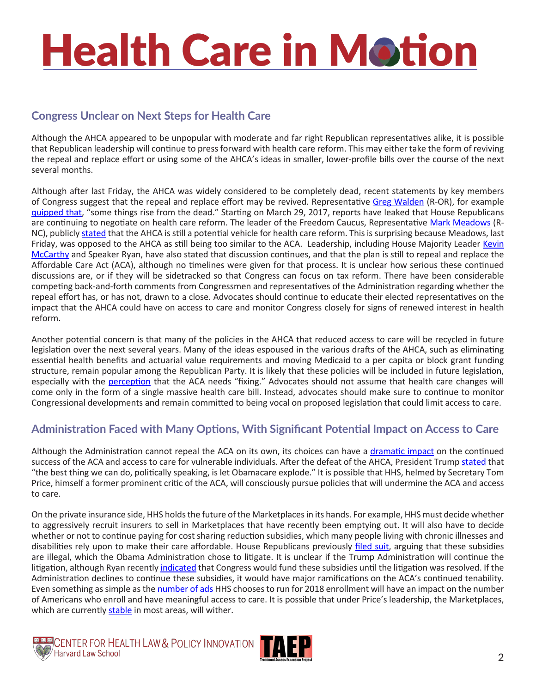# **Health Care in Motion**

#### **Congress Unclear on Next Steps for Health Care**

Although the AHCA appeared to be unpopular with moderate and far right Republican representatives alike, it is possible that Republican leadership will continue to press forward with health care reform. This may either take the form of reviving the repeal and replace effort or using some of the AHCA's ideas in smaller, lower-profile bills over the course of the next several months.

Although after last Friday, the AHCA was widely considered to be completely dead, recent statements by key members of Congress suggest that the repeal and replace effort may be revived. Representative [Greg Walden](https://walden.house.gov/contact-greg) (R-OR), for example guipped that, "some things rise from the dead." Starting on March 29, 2017, reports have leaked that House Republicans are continuing to negotiate on health care reform. The leader of the Freedom Caucus, Representative [Mark Meadows](https://meadows.house.gov/contact) (R-NC), publicly [stated](http://www.vox.com/policy-and-politics/2017/3/30/15115272/freedom-caucus-ahca-framework) that the AHCA is still a potential vehicle for health care reform. This is surprising because Meadows, last Friday, was opposed to the AHCA as still being too similar to the ACA. Leadership, including House Majority Leader [Kevin](https://kevinmccarthy.house.gov/contact) [McCarthy](https://kevinmccarthy.house.gov/contact) and Speaker Ryan, have also stated that discussion continues, and that the plan is still to repeal and replace the Affordable Care Act (ACA), although no timelines were given for that process. It is unclear how serious these continued discussions are, or if they will be sidetracked so that Congress can focus on tax reform. There have been considerable competing back-and-forth comments from Congressmen and representatives of the Administration regarding whether the repeal effort has, or has not, drawn to a close. Advocates should continue to educate their elected representatives on the impact that the AHCA could have on access to care and monitor Congress closely for signs of renewed interest in health reform.

Another potential concern is that many of the policies in the AHCA that reduced access to care will be recycled in future legislation over the next several years. Many of the ideas espoused in the various drafts of the AHCA, such as eliminating essential health benefits and actuarial value requirements and moving Medicaid to a per capita or block grant funding structure, remain popular among the Republican Party. It is likely that these policies will be included in future legislation, especially with the [perception](http://www.vox.com/policy-and-politics/2017/3/28/15098740/gop-ahca-paul-ryan-comeback) that the ACA needs "fixing." Advocates should not assume that health care changes will come only in the form of a single massive health care bill. Instead, advocates should make sure to continue to monitor Congressional developments and remain committed to being vocal on proposed legislation that could limit access to care.

#### **Administration Faced with Many Options, With Significant Potential Impact on Access to Care**

Although the Administration cannot repeal the ACA on its own, its choices can have a [dramatic impact](http://www.politico.com/agenda/story/2016/11/big-areas-tom-price-change-policy-hhs-000247) on the continued success of the ACA and access to care for vulnerable individuals. After the defeat of the AHCA, President Trump [stated](https://www.whitehouse.gov/the-press-office/2017/03/24/remarks-president-trump-health-care-bill) that "the best thing we can do, politically speaking, is let Obamacare explode." It is possible that HHS, helmed by Secretary Tom Price, himself a former prominent critic of the ACA, will consciously pursue policies that will undermine the ACA and access to care.

On the private insurance side, HHS holds the future of the Marketplaces in its hands. For example, HHS must decide whether to aggressively recruit insurers to sell in Marketplaces that have recently been emptying out. It will also have to decide whether or not to continue paying for cost sharing reduction subsidies, which many people living with chronic illnesses and disabilities rely upon to make their care affordable. House Republicans previously [filed suit](http://www.cnbc.com/2017/03/28/lingering-obamacare-court-cases-are-troubling-insurers.html), arguing that these subsidies are illegal, which the Obama Administration chose to litigate. It is unclear if the Trump Administration will continue the litigation, although Ryan recently [indicated](https://www.nytimes.com/2017/03/30/us/politics/health-insurance-republicans.html) that Congress would fund these subsidies until the litigation was resolved. If the Administration declines to continue these subsidies, it would have major ramifications on the ACA's continued tenability. Even something as simple as the [number of ads](http://content.healthaffairs.org/content/early/2017/03/13/hlthaff.2016.1440#aff-1) HHS chooses to run for 2018 enrollment will have an impact on the number of Americans who enroll and have meaningful access to care. It is possible that under Price's leadership, the Marketplaces, which are currently [stable](https://www.nytimes.com/2017/03/24/upshot/trumps-choice-on-obamacare-sabotage-or-co-opt.html?_r=0) in most areas, will wither.



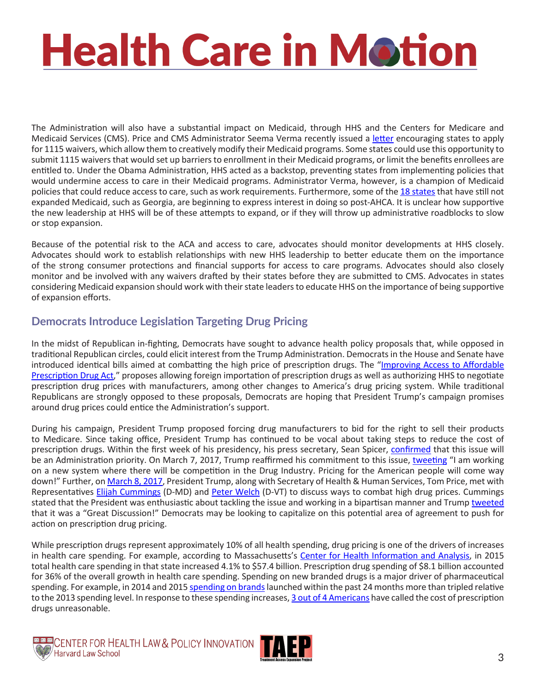## **Health Care in Motion**

The Administration will also have a substantial impact on Medicaid, through HHS and the Centers for Medicare and Medicaid Services (CMS). Price and CMS Administrator Seema Verma recently issued a [letter](https://www.hhs.gov/sites/default/files/sec-price-admin-verma-ltr.pdf) encouraging states to apply for 1115 waivers, which allow them to creatively modify their Medicaid programs. Some states could use this opportunity to submit 1115 waivers that would set up barriers to enrollment in their Medicaid programs, or limit the benefits enrollees are entitled to. Under the Obama Administration, HHS acted as a backstop, preventing states from implementing policies that would undermine access to care in their Medicaid programs. Administrator Verma, however, is a champion of Medicaid policies that could reduce access to care, such as work requirements. Furthermore, some of the [18 states](http://www.vox.com/policy-and-politics/2017/3/29/15072636/medicaid-expansion-florida-texas-ahca-obamacare-repeal) that have still not expanded Medicaid, such as Georgia, are beginning to express interest in doing so post-AHCA. It is unclear how supportive the new leadership at HHS will be of these attempts to expand, or if they will throw up administrative roadblocks to slow or stop expansion.

Because of the potential risk to the ACA and access to care, advocates should monitor developments at HHS closely. Advocates should work to establish relationships with new HHS leadership to better educate them on the importance of the strong consumer protections and financial supports for access to care programs. Advocates should also closely monitor and be involved with any waivers drafted by their states before they are submitted to CMS. Advocates in states considering Medicaid expansion should work with their state leaders to educate HHS on the importance of being supportive of expansion efforts.

#### **Democrats Introduce Legislation Targeting Drug Pricing**

In the midst of Republican in-fighting, Democrats have sought to advance health policy proposals that, while opposed in traditional Republican circles, could elicit interest from the Trump Administration. Democrats in the House and Senate have introduced identical bills aimed at combatting the high price of prescription drugs. The "[Improving Access to Affordable](https://www.baldwin.senate.gov/imo/media/doc/Improving Access to Affordable Prescription Drugs Act.pdf)  [Prescription Drug Act,](https://www.baldwin.senate.gov/imo/media/doc/Improving Access to Affordable Prescription Drugs Act.pdf)" proposes allowing foreign importation of prescription drugs as well as authorizing HHS to negotiate prescription drug prices with manufacturers, among other changes to America's drug pricing system. While traditional Republicans are strongly opposed to these proposals, Democrats are hoping that President Trump's campaign promises around drug prices could entice the Administration's support.

During his campaign, President Trump proposed forcing drug manufacturers to bid for the right to sell their products to Medicare. Since taking office, President Trump has continued to be vocal about taking steps to reduce the cost of prescription drugs. Within the first week of his presidency, his press secretary, Sean Spicer, [confirmed](https://www.nytimes.com/2017/01/23/health/the-fight-trump-faces-over-drug-prices.html) that this issue will be an Administration priority. On March 7, 2017, Trump reaffirmed his commitment to this issue, [tweeting](https://twitter.com/realDonaldTrump/status/839110000870109184) "I am working on a new system where there will be competition in the Drug Industry. Pricing for the American people will come way down!" Further, on [March 8, 2017,](http://www.npr.org/sections/health-shots/2017/03/08/519306444/trump-dems-look-for-common-ground-on-drug-prices) President Trump, along with Secretary of Health & Human Services, Tom Price, met with Representatives [Elijah Cummings](https://cummings.house.gov/contact) (D-MD) and [Peter Welch](https://welch.house.gov/contact) (D-VT) to discuss ways to combat high drug prices. Cummings stated that the President was enthusiastic about tackling the issue and working in a bipartisan manner and Trump [tweeted](https://twitter.com/realDonaldTrump/status/839624377826230272) that it was a "Great Discussion!" Democrats may be looking to capitalize on this potential area of agreement to push for action on prescription drug pricing.

While prescription drugs represent approximately 10% of all health spending, drug pricing is one of the drivers of increases in health care spending. For example, according to Massachusetts's [Center for Health Information and Analysis](http://www.mass.gov/anf/budget-taxes-and-procurement/oversight-agencies/health-policy-commission/publications/2016-cost-trends-report.pdf), in 2015 total health care spending in that state increased 4.1% to \$57.4 billion. Prescription drug spending of \$8.1 billion accounted for 36% of the overall growth in health care spending. Spending on new branded drugs is a major driver of pharmaceutical spending. For example, in 2014 and 2015 [spending on brands](http://www.imshealth.com/en/thought-leadership/quintilesims-institute/reports/medicines-use-and-spending-in-the-us-a-review-of-2015-and-outlook-to-2020) launched within the past 24 months more than tripled relative to the 2013 spending level. In response to these spending increases, [3 out of 4 Americans](http://kff.org/health-costs/poll-finding/kaiser-health-tracking-poll-june-2015/) have called the cost of prescription drugs unreasonable.